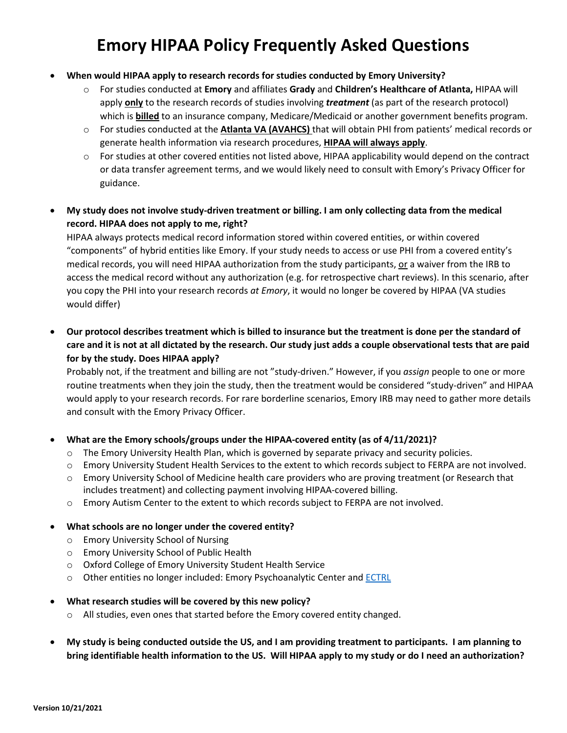# **Emory HIPAA Policy Frequently Asked Questions**

#### • **When would HIPAA apply to research records for studies conducted by Emory University?**

- o For studies conducted at **Emory** and affiliates **Grady** and **Children's Healthcare of Atlanta,** HIPAA will apply **only** to the research records of studies involving *treatment* (as part of the research protocol) which is **billed** to an insurance company, Medicare/Medicaid or another government benefits program.
- o For studies conducted at the **Atlanta VA (AVAHCS)** that will obtain PHI from patients' medical records or generate health information via research procedures, **HIPAA will always apply**.
- $\circ$  For studies at other covered entities not listed above, HIPAA applicability would depend on the contract or data transfer agreement terms, and we would likely need to consult with Emory's Privacy Officer for guidance.
- **My study does not involve study-driven treatment or billing. I am only collecting data from the medical record. HIPAA does not apply to me, right?**

HIPAA always protects medical record information stored within covered entities, or within covered "components" of hybrid entities like Emory. If your study needs to access or use PHI from a covered entity's medical records, you will need HIPAA authorization from the study participants, or a waiver from the IRB to access the medical record without any authorization (e.g. for retrospective chart reviews). In this scenario, after you copy the PHI into your research records *at Emory*, it would no longer be covered by HIPAA (VA studies would differ)

• **Our protocol describes treatment which is billed to insurance but the treatment is done per the standard of care and it is not at all dictated by the research. Our study just adds a couple observational tests that are paid for by the study. Does HIPAA apply?**

Probably not, if the treatment and billing are not "study-driven." However, if you *assign* people to one or more routine treatments when they join the study, then the treatment would be considered "study-driven" and HIPAA would apply to your research records. For rare borderline scenarios, Emory IRB may need to gather more details and consult with the Emory Privacy Officer.

### • **What are the Emory schools/groups under the HIPAA-covered entity (as of 4/11/2021)?**

- o The Emory University Health Plan, which is governed by separate privacy and security policies.
- o Emory University Student Health Services to the extent to which records subject to FERPA are not involved.
- o Emory University School of Medicine health care providers who are proving treatment (or Research that includes treatment) and collecting payment involving HIPAA-covered billing.
- o Emory Autism Center to the extent to which records subject to FERPA are not involved.

#### • **What schools are no longer under the covered entity?**

- o Emory University School of Nursing
- o Emory University School of Public Health
- o Oxford College of Emory University Student Health Service
- o Other entities no longer included: Emory Psychoanalytic Center and [ECTRL](http://www.pathology.emory.edu/ECTRL/)

#### • **What research studies will be covered by this new policy?**

- o All studies, even ones that started before the Emory covered entity changed.
- **My study is being conducted outside the US, and I am providing treatment to participants. I am planning to bring identifiable health information to the US. Will HIPAA apply to my study or do I need an authorization?**